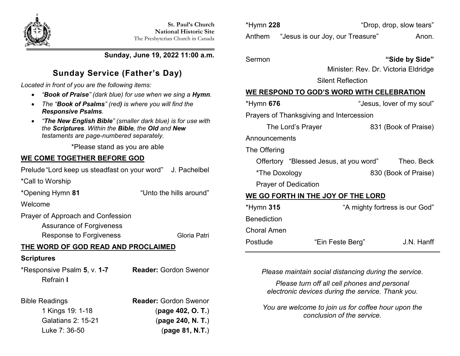

**Sunday, June 19, 2022 11:00 a.m.**

# **Sunday Service (Father's Day)**

*Located in front of you are the following items:*

- *"Book of Praise" (dark blue) for use when we sing a Hymn.*
- *The "Book of Psalms" (red) is where you will find the Responsive Psalms.*
- *"The New English Bible" (smaller dark blue) is for use with the Scriptures. Within the Bible, the Old and New testaments are page-numbered separately.*

\*Please stand as you are able

# **WE COME TOGETHER BEFORE GOD**

Prelude"Lord keep us steadfast on your word" J. Pachelbel

\*Call to Worship

\*Opening Hymn **81** "Unto the hills around" Welcome Prayer of Approach and Confession

Assurance of Forgiveness

Response to Forgiveness Gloria Patri

# **THE WORD OF GOD READ AND PROCLAIMED**

### **Scriptures**

\*Responsive Psalm **5**, v. **1-7 Reader:** Gordon Swenor Refrain **I**

Bible Readings **Reader:** Gordon Swenor 1 Kings 19: 1-18 (**page 402, O. T.**) Galatians 2: 15-21 (**page 240, N. T.**) Luke 7: 36-50 (**page 81, N.T.**)

| *Hymn 228 |                                         | "Drop, drop, slow tears" |       |
|-----------|-----------------------------------------|--------------------------|-------|
|           | Anthem "Jesus is our Joy, our Treasure" |                          | Anon. |

# Sermon **"Side by Side"**

Minister: Rev. Dr. Victoria Eldridge

Silent Reflection

# **WE RESPOND TO GOD'S WORD WITH CELEBRATION**

| *Hymn <b>676</b>                         | "Jesus, lover of my soul" |  |  |  |
|------------------------------------------|---------------------------|--|--|--|
| Prayers of Thanksgiving and Intercession |                           |  |  |  |
| The Lord's Prayer                        | 831 (Book of Praise)      |  |  |  |
| Announcements                            |                           |  |  |  |
| The Offering                             |                           |  |  |  |
| Offertory "Blessed Jesus, at you word"   | Theo. Beck                |  |  |  |
| *The Doxology                            | 830 (Book of Praise)      |  |  |  |
| <b>Prayer of Dedication</b>              |                           |  |  |  |
| WE GO FORTH IN THE JOY OF THE LORD       |                           |  |  |  |
|                                          |                           |  |  |  |

| *Hymn <b>315</b> | "A mighty fortress is our God" |            |
|------------------|--------------------------------|------------|
| Benediction      |                                |            |
| Choral Amen      |                                |            |
| Postlude         | "Ein Feste Berg"               | J.N. Hanff |

*Please maintain social distancing during the service.*

*Please turn off all cell phones and personal electronic devices during the service. Thank you.*

*You are welcome to join us for coffee hour upon the conclusion of the service.*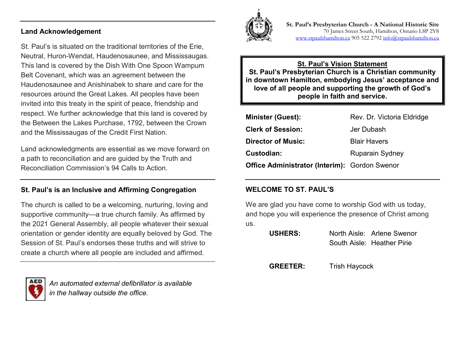#### **Land Acknowledgement**

St. Paul's is situated on the traditional territories of the Erie, Neutral, Huron-Wendat, Haudenosaunee, and Mississaugas. This land is covered by the Dish With One Spoon Wampum Belt Covenant, which was an agreement between the Haudenosaunee and Anishinabek to share and care for the resources around the Great Lakes. All peoples have been invited into this treaty in the spirit of peace, friendship and respect. We further acknowledge that this land is covered by the Between the Lakes Purchase, 1792, between the Crown and the Mississaugas of the Credit First Nation.

Land acknowledgments are essential as we move forward on a path to reconciliation and are guided by the Truth and Reconciliation Commission's 94 Calls to Action.

#### **St. Paul's is an Inclusive and Affirming Congregation**

The church is called to be a welcoming, nurturing, loving and supportive community—a true church family. As affirmed by the 2021 General Assembly, all people whatever their sexual orientation or gender identity are equally beloved by God. The Session of St. Paul's endorses these truths and will strive to create a church where all people are included and affirmed.



*An automated external defibrillator is available in the hallway outside the office.*



**St. Paul's Presbyterian Church - A National Historic Site**  70 James Street South, Hamilton, Ontario L8P 2Y8 [www.stpaulshamilton.ca](http://www.stpaulshamilton.ca/) 905 522 279[2 info@stpaulshamilton.ca](mailto:info@stpaulshamilton.ca)

**St. Paul's Vision Statement St. Paul's Presbyterian Church is a Christian community in downtown Hamilton, embodying Jesus' acceptance and love of all people and supporting the growth of God's people in faith and service.**

| <b>Minister (Guest):</b>                             | Rev. Dr. Victoria Eldridge |
|------------------------------------------------------|----------------------------|
| <b>Clerk of Session:</b>                             | Jer Dubash                 |
| <b>Director of Music:</b>                            | <b>Blair Havers</b>        |
| Custodian:                                           | <b>Ruparain Sydney</b>     |
| <b>Office Administrator (Interim): Gordon Swenor</b> |                            |

#### **WELCOME TO ST. PAUL'S**

We are glad you have come to worship God with us today, and hope you will experience the presence of Christ among us.

| <b>USHERS:</b> | North Aisle: Arlene Swenor |
|----------------|----------------------------|
|                | South Aisle: Heather Pirie |

**GREETER:** Trish Haycock